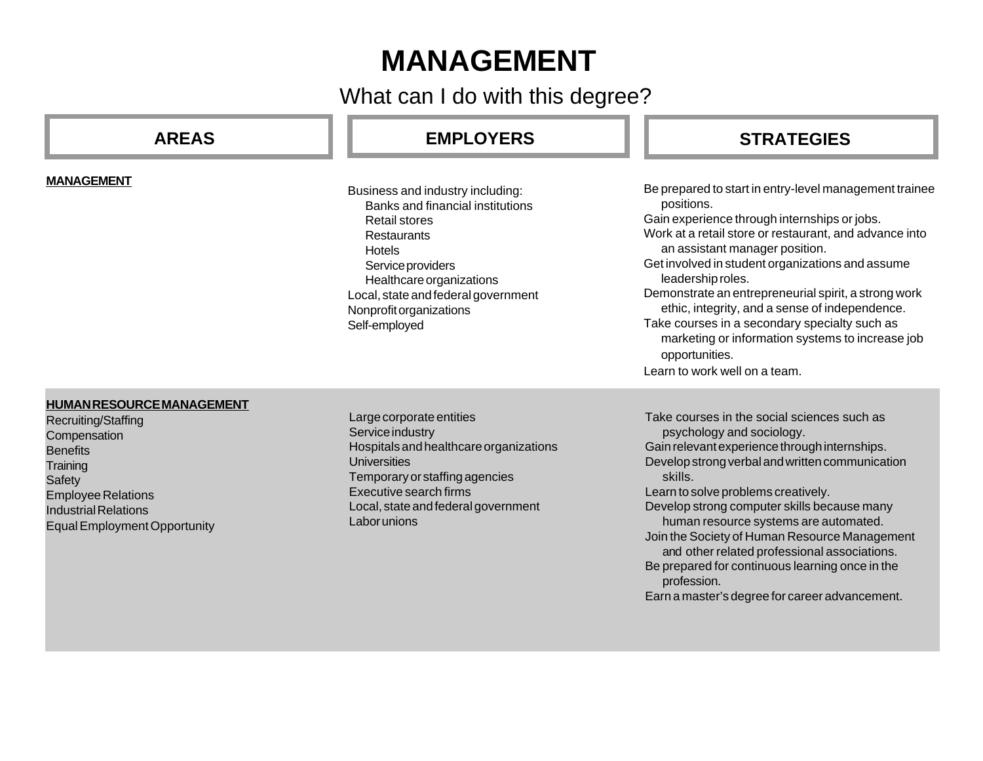# **MANAGEMENT**

What can I do with this degree?

| <b>AREAS</b>                                                                                                                                                                                                        | <b>EMPLOYERS</b>                                                                                                                                                                                                                                                 | <b>STRATEGIES</b>                                                                                                                                                                                                                                                                                                                                                                                                                                                                                                                                           |
|---------------------------------------------------------------------------------------------------------------------------------------------------------------------------------------------------------------------|------------------------------------------------------------------------------------------------------------------------------------------------------------------------------------------------------------------------------------------------------------------|-------------------------------------------------------------------------------------------------------------------------------------------------------------------------------------------------------------------------------------------------------------------------------------------------------------------------------------------------------------------------------------------------------------------------------------------------------------------------------------------------------------------------------------------------------------|
| <b>MANAGEMENT</b>                                                                                                                                                                                                   | Business and industry including:<br>Banks and financial institutions<br><b>Retail stores</b><br><b>Restaurants</b><br>Hotels<br>Service providers<br>Healthcare organizations<br>Local, state and federal government<br>Nonprofit organizations<br>Self-employed | Be prepared to start in entry-level management trainee<br>positions.<br>Gain experience through internships or jobs.<br>Work at a retail store or restaurant, and advance into<br>an assistant manager position.<br>Get involved in student organizations and assume<br>leadership roles.<br>Demonstrate an entrepreneurial spirit, a strong work<br>ethic, integrity, and a sense of independence.<br>Take courses in a secondary specialty such as<br>marketing or information systems to increase job<br>opportunities.<br>Learn to work well on a team. |
| <b>HUMAN RESOURCE MANAGEMENT</b><br>Recruiting/Staffing<br>Compensation<br><b>Benefits</b><br>Training<br>Safety<br><b>Employee Relations</b><br><b>Industrial Relations</b><br><b>Equal Employment Opportunity</b> | Large corporate entities<br>Service industry<br>Hospitals and healthcare organizations<br><b>Universities</b><br>Temporary or staffing agencies<br>Executive search firms<br>Local, state and federal government<br><b>Laborunions</b>                           | Take courses in the social sciences such as<br>psychology and sociology.<br>Gain relevant experience through internships.<br>Develop strong verbal and written communication<br>skills.<br>Learn to solve problems creatively.<br>Develop strong computer skills because many<br>human resource systems are automated.<br>Join the Society of Human Resource Management<br>and other related professional associations.<br>Be prepared for continuous learning once in the<br>profession.<br>Earn a master's degree for career advancement.                 |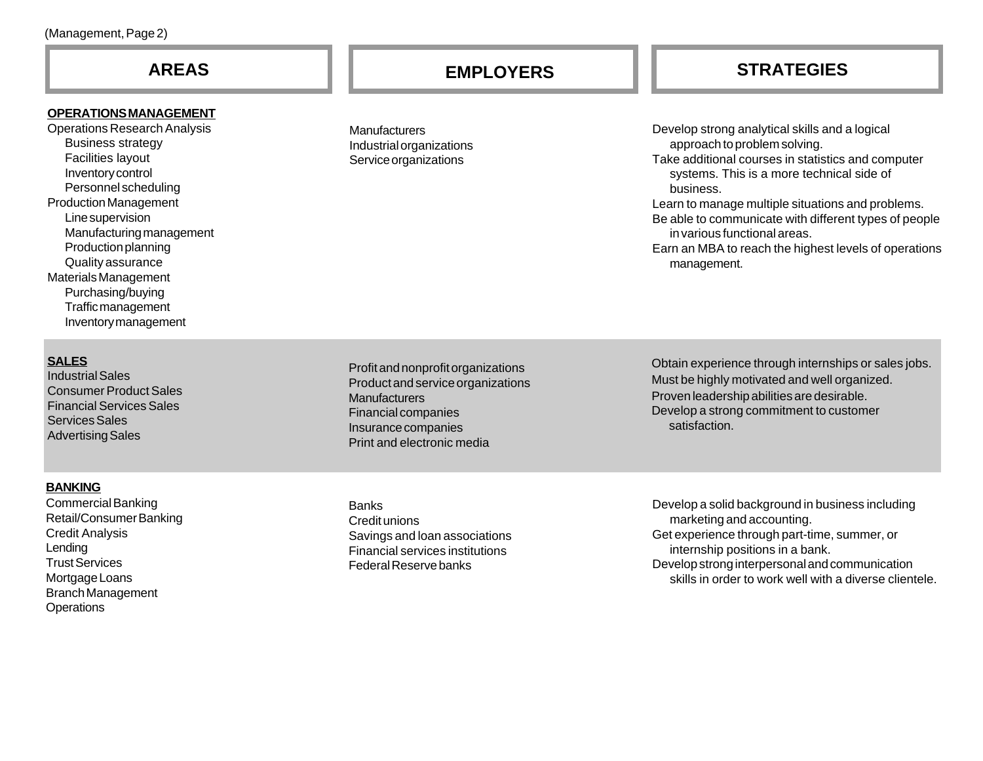### **OPERATIONS MANAGEMENT**

Operations Research Analysis Business strategy Facilities layout Inventory control Personnel scheduling Production Management Line supervision Manufacturing management Production planning Quality assurance Materials Management Purchasing/buying Traffic management Inventory management

### **SALES**

Industrial Sales Consumer Product Sales Financial Services Sales Services Sales Advertising Sales

### **BANKING**

Commercial Banking Retail/Consumer Banking Credit Analysis Lending Trust Services Mortgage Loans Branch Management **Operations** 

**Manufacturers** Industrial organizations Service organizations

Develop strong analytical skills and a logical approach to problem solving. Take additional courses in statistics and computer systems. This is a more technical side of business.

Learn to manage multiple situations and problems. Be able to communicate with different types of people in various functional areas.

Earn an MBA to reach the highest levels of operations management.

Profit and nonprofit organizations Product and service organizations **Manufacturers** Financial companies Insurance companies Print and electronic media

Banks Credit unions Savings and loan associations Financial services institutions Federal Reserve banks

Obtain experience through internships or sales jobs. Must be highly motivated and well organized. Proven leadership abilities are desirable. Develop a strong commitment to customer satisfaction.

Develop a solid background in business including marketing and accounting. Get experience through part-time, summer, or internship positions in a bank. Develop strong interpersonal and communication skills in order to work well with a diverse clientele.

# **AREAS EMPLOYERS STRATEGIES**